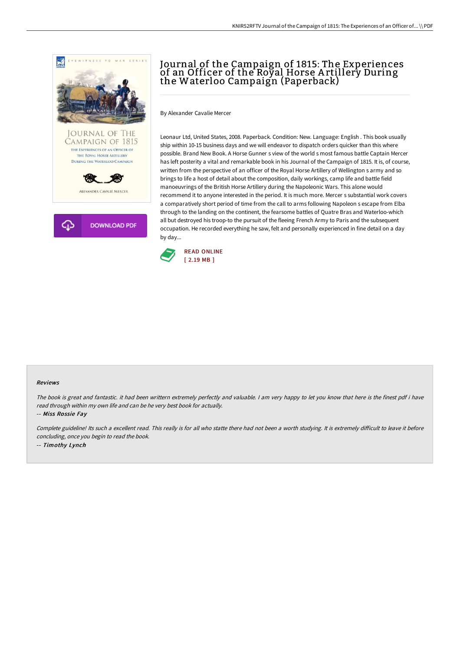

# Journal of the Campaign of 1815: The Experiences of an Officer of the Royal Horse A rtillery During the Waterloo Campaign (Paperback)

By Alexander Cavalie Mercer

Leonaur Ltd, United States, 2008. Paperback. Condition: New. Language: English . This book usually ship within 10-15 business days and we will endeavor to dispatch orders quicker than this where possible. Brand New Book. A Horse Gunner s view of the world s most famous battle Captain Mercer has left posterity a vital and remarkable book in his Journal of the Campaign of 1815. It is, of course, written from the perspective of an officer of the Royal Horse Artillery of Wellington s army and so brings to life a host of detail about the composition, daily workings, camp life and battle field manoeuvrings of the British Horse Artillery during the Napoleonic Wars. This alone would recommend it to anyone interested in the period. It is much more. Mercer s substantial work covers a comparatively short period of time from the call to arms following Napoleon s escape from Elba through to the landing on the continent, the fearsome battles of Quatre Bras and Waterloo-which all but destroyed his troop-to the pursuit of the fleeing French Army to Paris and the subsequent occupation. He recorded everything he saw, felt and personally experienced in fine detail on a day by day...



#### Reviews

The book is great and fantastic. it had been writtern extremely perfectly and valuable. <sup>I</sup> am very happy to let you know that here is the finest pdf i have read through within my own life and can be he very best book for actually.

-- Miss Rossie Fay

Complete guideline! Its such a excellent read. This really is for all who statte there had not been a worth studying. It is extremely difficult to leave it before concluding, once you begin to read the book. -- Timothy Lynch